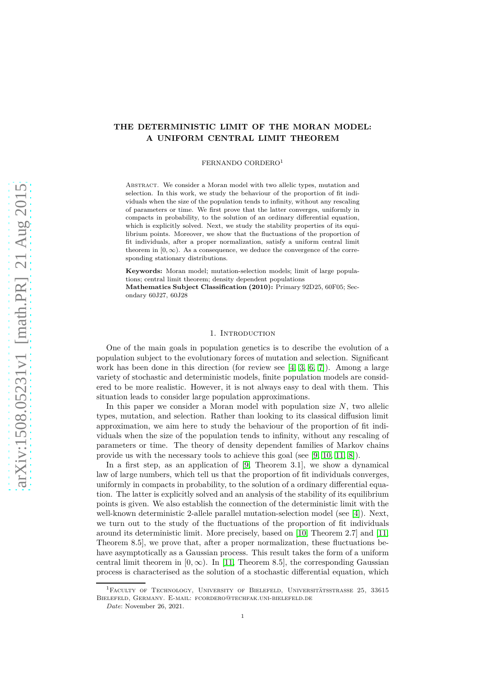# **THE DETERMINISTIC LIMIT OF THE MORAN MODEL: A UNIFORM CENTRAL LIMIT THEOREM**

# FERNANDO CORDERO<sup>1</sup>

Abstract. We consider a Moran model with two allelic types, mutation and selection. In this work, we study the behaviour of the proportion of fit individuals when the size of the population tends to infinity, without any rescaling of parameters or time. We first prove that the latter converges, uniformly in compacts in probability, to the solution of an ordinary differential equation, which is explicitly solved. Next, we study the stability properties of its equilibrium points. Moreover, we show that the fluctuations of the proportion of fit individuals, after a proper normalization, satisfy a uniform central limit theorem in  $[0, \infty)$ . As a consequence, we deduce the convergence of the corresponding stationary distributions.

**Keywords:** Moran model; mutation-selection models; limit of large populations; central limit theorem; density dependent populations **Mathematics Subject Classification (2010):** Primary 92D25, 60F05; Secondary 60J27, 60J28

## 1. INTRODUCTION

One of the main goals in population genetics is to describe the evolution of a population subject to the evolutionary forces of mutation and selection. Significant work has been done in this direction (for review see [\[4,](#page-6-0) [3,](#page-6-1) [6,](#page-7-0) [7\]](#page-7-1)). Among a large variety of stochastic and deterministic models, finite population models are considered to be more realistic. However, it is not always easy to deal with them. This situation leads to consider large population approximations.

In this paper we consider a Moran model with population size *N*, two allelic types, mutation, and selection. Rather than looking to its classical diffusion limit approximation, we aim here to study the behaviour of the proportion of fit individuals when the size of the population tends to infinity, without any rescaling of parameters or time. The theory of density dependent families of Markov chains provide us with the necessary tools to achieve this goal (see [\[9,](#page-7-2) [10,](#page-7-3) [11,](#page-7-4) [8\]](#page-7-5)).

In a first step, as an application of [\[9,](#page-7-2) Theorem 3.1], we show a dynamical law of large numbers, which tell us that the proportion of fit individuals converges, uniformly in compacts in probability, to the solution of a ordinary differential equation. The latter is explicitly solved and an analysis of the stability of its equilibrium points is given. We also establish the connection of the deterministic limit with the well-known deterministic 2-allele parallel mutation-selection model (see [\[4\]](#page-6-0)). Next, we turn out to the study of the fluctuations of the proportion of fit individuals around its deterministic limit. More precisely, based on [\[10,](#page-7-3) Theorem 2.7] and [\[11,](#page-7-4) Theorem 8.5], we prove that, after a proper normalization, these fluctuations behave asymptotically as a Gaussian process. This result takes the form of a uniform central limit theorem in  $[0, \infty)$ . In [\[11,](#page-7-4) Theorem 8.5], the corresponding Gaussian process is characterised as the solution of a stochastic differential equation, which

<sup>&</sup>lt;sup>1</sup>Faculty of Technology, University of Bielefeld, Universitätsstrasse 25, 33615 Bielefeld, Germany. E-mail: fcordero@techfak.uni-bielefeld.de

*Date*: November 26, 2021.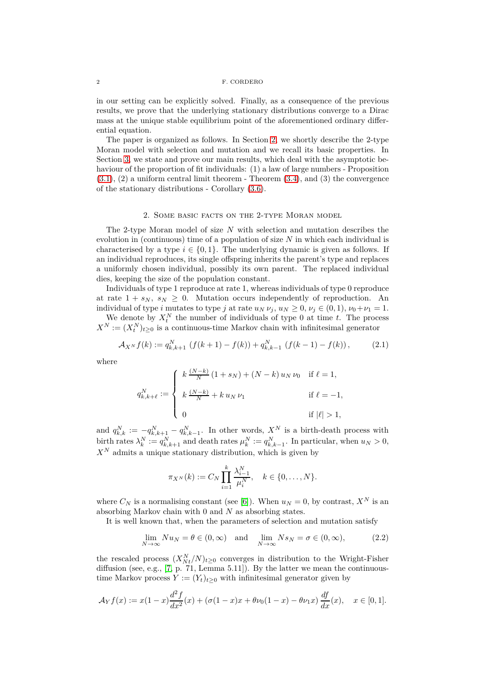in our setting can be explicitly solved. Finally, as a consequence of the previous results, we prove that the underlying stationary distributions converge to a Dirac mass at the unique stable equilibrium point of the aforementioned ordinary differential equation.

The paper is organized as follows. In Section [2,](#page-1-0) we shortly describe the 2-type Moran model with selection and mutation and we recall its basic properties. In Section [3,](#page-2-0) we state and prove our main results, which deal with the asymptotic behaviour of the proportion of fit individuals: (1) a law of large numbers - Proposition  $(3.1), (2)$  $(3.1), (2)$  a uniform central limit theorem  $\overline{3.4},$  and  $(3)$  the convergence of the stationary distributions - Corollary [\(3.6\)](#page-6-2).

## 2. Some basic facts on the 2-type Moran model

<span id="page-1-0"></span>The 2-type Moran model of size *N* with selection and mutation describes the evolution in (continuous) time of a population of size *N* in which each individual is characterised by a type  $i \in \{0, 1\}$ . The underlying dynamic is given as follows. If an individual reproduces, its single offspring inherits the parent's type and replaces a uniformly chosen individual, possibly its own parent. The replaced individual dies, keeping the size of the population constant.

Individuals of type 1 reproduce at rate 1, whereas individuals of type 0 reproduce at rate  $1 + s_N$ ,  $s_N \geq 0$ . Mutation occurs independently of reproduction. An individual of type *i* mutates to type *j* at rate  $u_N \nu_j$ ,  $u_N \geq 0$ ,  $\nu_j \in (0,1)$ ,  $\nu_0 + \nu_1 = 1$ .

We denote by  $X_t^N$  the number of individuals of type 0 at time *t*. The process  $X^N := (X_t^N)_{t \geq 0}$  is a continuous-time Markov chain with infinitesimal generator

$$
\mathcal{A}_{X^N} f(k) := q_{k,k+1}^N \left( f(k+1) - f(k) \right) + q_{k,k-1}^N \left( f(k-1) - f(k) \right),\tag{2.1}
$$

where

$$
q_{k,k+\ell}^N := \begin{cases} k \frac{(N-k)}{N} (1+s_N) + (N-k) u_N \nu_0 & \text{if } \ell = 1, \\ k \frac{(N-k)}{N} + k u_N \nu_1 & \text{if } \ell = -1, \\ 0 & \text{if } |\ell| > 1, \end{cases}
$$

and  $q_{k,k}^N := -q_{k,k+1}^N - q_{k,k-1}^N$ . In other words,  $X^N$  is a birth-death process with birth rates  $\lambda_k^N := q_{k,k+1}^N$  and death rates  $\mu_k^N := q_{k,k-1}^N$ . In particular, when  $u_N > 0$ ,  $X^N$  admits a unique stationary distribution, which is given by

$$
\pi_{X^N}(k) := C_N \prod_{i=1}^k \frac{\lambda_{i-1}^N}{\mu_i^N}, \quad k \in \{0, \dots, N\}.
$$

where  $C_N$  is a normalising constant (see [\[6\]](#page-7-0)). When  $u_N = 0$ , by contrast,  $X^N$  is an absorbing Markov chain with 0 and *N* as absorbing states.

It is well known that, when the parameters of selection and mutation satisfy

<span id="page-1-1"></span>
$$
\lim_{N \to \infty} N u_N = \theta \in (0, \infty) \quad \text{and} \quad \lim_{N \to \infty} N s_N = \sigma \in (0, \infty), \tag{2.2}
$$

the rescaled process  $(X_{Nt}^N/N)_{t\geq 0}$  converges in distribution to the Wright-Fisher diffusion (see, e.g., [\[7,](#page-7-1) p. 71, Lemma 5.11]). By the latter we mean the continuoustime Markov process  $Y := (Y_t)_{t \geq 0}$  with infinitesimal generator given by

$$
\mathcal{A}_Y f(x) := x(1-x) \frac{d^2 f}{dx^2}(x) + (\sigma(1-x)x + \theta \nu_0 (1-x) - \theta \nu_1 x) \frac{df}{dx}(x), \quad x \in [0,1].
$$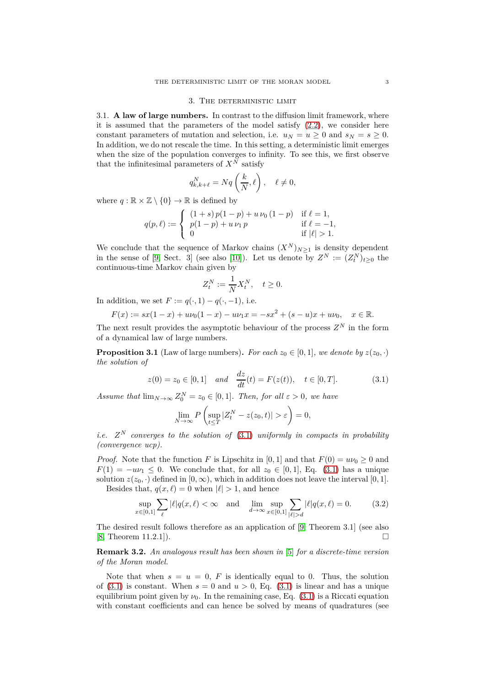#### 3. The deterministic limit

<span id="page-2-3"></span><span id="page-2-0"></span>3.1. **A law of large numbers.** In contrast to the diffusion limit framework, where it is assumed that the parameters of the model satisfy [\(2.2\)](#page-1-1), we consider here constant parameters of mutation and selection, i.e.  $u_N = u > 0$  and  $s_N = s > 0$ . In addition, we do not rescale the time. In this setting, a deterministic limit emerges when the size of the population converges to infinity. To see this, we first observe that the infinitesimal parameters of  $X^{\tilde{N}}$  satisfy

$$
q_{k,k+\ell}^N = Nq\left(\frac{k}{N},\ell\right), \quad \ell \neq 0,
$$

where  $q : \mathbb{R} \times \mathbb{Z} \setminus \{0\} \to \mathbb{R}$  is defined by

$$
q(p,\ell) := \begin{cases} (1+s) p(1-p) + u \, \nu_0 \, (1-p) & \text{if } \ell = 1, \\ p(1-p) + u \, \nu_1 \, p & \text{if } \ell = -1, \\ 0 & \text{if } |\ell| > 1. \end{cases}
$$

We conclude that the sequence of Markov chains  $(X^N)_{N>1}$  is density dependent in the sense of [\[9,](#page-7-2) Sect. 3] (see also [\[10\]](#page-7-3)). Let us denote by  $Z^N := (Z_t^N)_{t \geq 0}$  the continuous-time Markov chain given by

<span id="page-2-2"></span>
$$
Z_t^N := \frac{1}{N} X_t^N, \quad t \ge 0.
$$

In addition, we set  $F := q(\cdot, 1) - q(\cdot, -1)$ , i.e.

$$
F(x) := sx(1-x) + u\nu_0(1-x) - u\nu_1 x = -sx^2 + (s-u)x + u\nu_0, \quad x \in \mathbb{R}.
$$

The next result provides the asymptotic behaviour of the process  $Z^N$  in the form of a dynamical law of large numbers.

<span id="page-2-1"></span>**Proposition 3.1** (Law of large numbers). For each  $z_0 \in [0,1]$ , we denote by  $z(z_0, \cdot)$ *the solution of*

$$
z(0) = z_0 \in [0, 1] \quad and \quad \frac{dz}{dt}(t) = F(z(t)), \quad t \in [0, T]. \tag{3.1}
$$

*Assume that*  $\lim_{N\to\infty} Z_0^N = z_0 \in [0,1]$ *. Then, for all*  $\varepsilon > 0$ *, we have* 

$$
\lim_{N \to \infty} P\left(\sup_{t \le T} |Z_t^N - z(z_0, t)| > \varepsilon\right) = 0,
$$

*i.e.*  $Z^N$  *converges to the solution of*  $(3.1)$  *uniformly in compacts in probability (convergence ucp).*

*Proof.* Note that the function *F* is Lipschitz in [0, 1] and that  $F(0) = u\nu_0 \ge 0$  and  $F(1) = -u\nu_1 \leq 0$ . We conclude that, for all  $z_0 \in [0,1]$ , Eq. [\(3.1\)](#page-2-2) has a unique solution  $z(z_0, \cdot)$  defined in  $[0, \infty)$ , which in addition does not leave the interval  $[0, 1]$ . Besides that,  $q(x, \ell) = 0$  when  $|\ell| > 1$ , and hence

<span id="page-2-4"></span>
$$
\sup_{x \in [0,1]} \sum_{\ell} |\ell| q(x,\ell) < \infty \quad \text{and} \quad \lim_{d \to \infty} \sup_{x \in [0,1]} \sum_{|\ell| > d} |\ell| q(x,\ell) = 0. \tag{3.2}
$$

The desired result follows therefore as an application of [\[9,](#page-7-2) Theorem 3.1] (see also  $[8, Theorem 11.2.1].$  $[8, Theorem 11.2.1].$ 

**Remark 3.2.** *An analogous result has been shown in* [\[5\]](#page-6-3) *for a discrete-time version of the Moran model.*

Note that when  $s = u = 0$ , F is identically equal to 0. Thus, the solution of  $(3.1)$  is constant. When  $s = 0$  and  $u > 0$ , Eq.  $(3.1)$  is linear and has a unique equilibrium point given by  $\nu_0$ . In the remaining case, Eq. [\(3.1\)](#page-2-2) is a Riccati equation with constant coefficients and can hence be solved by means of quadratures (see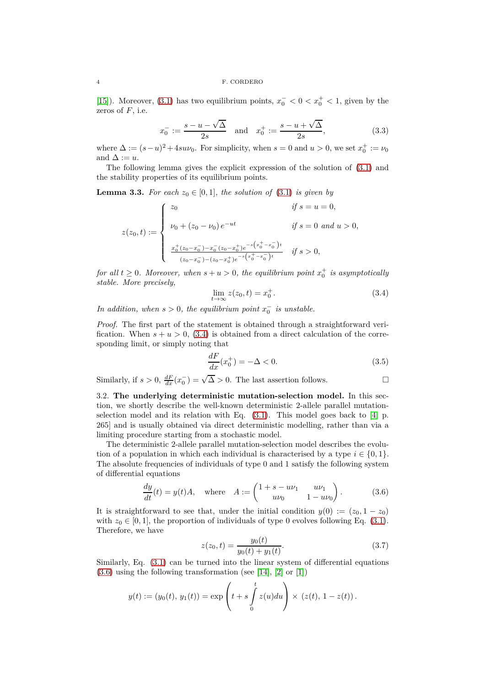[\[15\]](#page-7-6)). Moreover, [\(3.1\)](#page-2-2) has two equilibrium points,  $x_0^- < 0 < x_0^+ < 1$ , given by the zeros of *F*, i.e.

$$
x_0^- := \frac{s - u - \sqrt{\Delta}}{2s}
$$
 and  $x_0^+ := \frac{s - u + \sqrt{\Delta}}{2s}$ , (3.3)

where  $\Delta := (s - u)^2 + 4suv_0$ . For simplicity, when  $s = 0$  and  $u > 0$ , we set  $x_0^+ := v_0$ and  $\Delta := u$ .

The following lemma gives the explicit expression of the solution of [\(3.1\)](#page-2-2) and the stability properties of its equilibrium points.

<span id="page-3-2"></span>**Lemma 3.3.** For each  $z_0 \in [0,1]$ , the solution of [\(3.1\)](#page-2-2) is given by

$$
z(z_0, t) := \begin{cases} z_0 & \text{if } s = u = 0, \\ \nu_0 + (z_0 - \nu_0) e^{-ut} & \text{if } s = 0 \text{ and } u > 0, \\ & \frac{x_0^+(z_0 - x_0^-) - x_0^-(z_0 - x_0^+) e^{-s\left(x_0^+ - x_0^-\right)t}}{(z_0 - x_0^-) - (z_0 - x_0^+) e^{-s\left(x_0^+ - x_0^-\right)t}} & \text{if } s > 0, \end{cases}
$$

*for all*  $t \geq 0$ *. Moreover, when*  $s + u > 0$ *, the equilibrium point*  $x_0^+$  *is asymptotically stable. More precisely,*

<span id="page-3-0"></span>
$$
\lim_{t \to \infty} z(z_0, t) = x_0^+.
$$
\n(3.4)

*In addition, when*  $s > 0$ *, the equilibrium point*  $x_0^-$  *is unstable.* 

*Proof.* The first part of the statement is obtained through a straightforward verification. When  $s + u > 0$ , [\(3.4\)](#page-3-0) is obtained from a direct calculation of the corresponding limit, or simply noting that

<span id="page-3-4"></span>
$$
\frac{dF}{dx}(x_0^+) = -\Delta < 0. \tag{3.5}
$$

Similarly, if  $s > 0$ ,  $\frac{dF}{dx}(x_0^-) = \sqrt{\Delta} > 0$ . The last assertion follows.

3.2. **The underlying deterministic mutation-selection model.** In this section, we shortly describe the well-known deterministic 2-allele parallel mutationselection model and its relation with Eq.  $(3.1)$ . This model goes back to [\[4,](#page-6-0) p. 265] and is usually obtained via direct deterministic modelling, rather than via a limiting procedure starting from a stochastic model.

The deterministic 2-allele parallel mutation-selection model describes the evolution of a population in which each individual is characterised by a type  $i \in \{0,1\}$ . The absolute frequencies of individuals of type 0 and 1 satisfy the following system of differential equations

<span id="page-3-1"></span>
$$
\frac{dy}{dt}(t) = y(t)A, \text{ where } A := \begin{pmatrix} 1 + s - u\nu_1 & u\nu_1 \\ u\nu_0 & 1 - u\nu_0 \end{pmatrix}.
$$
 (3.6)

It is straightforward to see that, under the initial condition  $y(0) := (z_0, 1 - z_0)$ with  $z_0 \in [0,1]$ , the proportion of individuals of type 0 evolves following Eq. [\(3.1\)](#page-2-2). Therefore, we have

<span id="page-3-3"></span>
$$
z(z_0, t) = \frac{y_0(t)}{y_0(t) + y_1(t)}.\t(3.7)
$$

Similarly, Eq. [\(3.1\)](#page-2-2) can be turned into the linear system of differential equations  $(3.6)$  using the following transformation (see [\[14\]](#page-7-7), [\[2\]](#page-6-4) or [\[1\]](#page-6-5))

$$
y(t) := (y_0(t), y_1(t)) = \exp\left(t + s \int_0^t z(u) du\right) \times (z(t), 1 - z(t)).
$$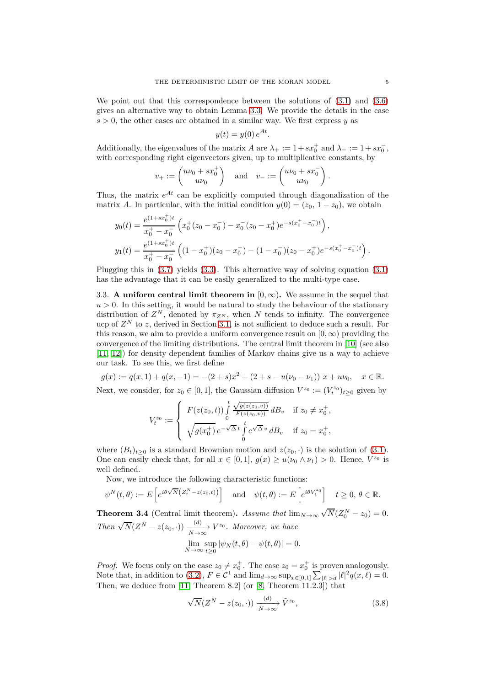We point out that this correspondence between the solutions of [\(3.1\)](#page-2-2) and [\(3.6\)](#page-3-1) gives an alternative way to obtain Lemma [3.3.](#page-3-2) We provide the details in the case  $s > 0$ , the other cases are obtained in a similar way. We first express  $y$  as

$$
y(t) = y(0) e^{At}
$$

*.*

Additionally, the eigenvalues of the matrix *A* are  $\lambda_+ := 1 + sx_0^+$  and  $\lambda_- := 1 + sx_0^-$ , with corresponding right eigenvectors given, up to multiplicative constants, by

$$
v_+ := \begin{pmatrix} u\nu_0 + sx_0^+ \\ u\nu_0 \end{pmatrix} \quad \text{and} \quad v_- := \begin{pmatrix} u\nu_0 + sx_0^- \\ u\nu_0 \end{pmatrix}.
$$

Thus, the matrix  $e^{At}$  can be explicitly computed through diagonalization of the matrix *A*. In particular, with the initial condition  $y(0) = (z_0, 1 - z_0)$ , we obtain

$$
y_0(t) = \frac{e^{(1+sx_0^+)t}}{x_0^+ - x_0^-} \left( x_0^+(z_0 - x_0^-) - x_0^-(z_0 - x_0^+) e^{-s(x_0^+ - x_0^-)t} \right),
$$
  
\n
$$
y_1(t) = \frac{e^{(1+sx_0^+)t}}{x_0^+ - x_0^-} \left( (1-x_0^+)(z_0 - x_0^-) - (1-x_0^-)(z_0 - x_0^+) e^{-s(x_0^+ - x_0^-)t} \right).
$$

Plugging this in [\(3.7\)](#page-3-3) yields [\(3.3\)](#page-3-2). This alternative way of solving equation [\(3.1\)](#page-2-2) has the advantage that it can be easily generalized to the multi-type case.

3.3. **A uniform central limit theorem in**  $[0, \infty)$ . We assume in the sequel that  $u > 0$ . In this setting, it would be natural to study the behaviour of the stationary distribution of  $Z^N$ , denoted by  $\pi_{Z^N}$ , when  $N$  tends to infinity. The convergence ucp of  $Z^N$  to *z*, derived in Section [3.1,](#page-2-3) is not sufficient to deduce such a result. For this reason, we aim to provide a uniform convergence result on  $[0, \infty)$  providing the convergence of the limiting distributions. The central limit theorem in [\[10\]](#page-7-3) (see also [\[11,](#page-7-4) [12\]](#page-7-8)) for density dependent families of Markov chains give us a way to achieve our task. To see this, we first define

$$
g(x) := q(x, 1) + q(x, -1) = -(2 + s)x^{2} + (2 + s - u(\nu_{0} - \nu_{1})) x + u\nu_{0}, \quad x \in \mathbb{R}.
$$
  
Next, we consider for  $z_{0} \in [0, 1]$ , the Gaussian diffusion  $V^{z_{0}} := (V^{z_{0}})_{t>0}$  given by

Next, we consider, for 
$$
z_0 \in [0, 1]
$$
, the Gaussian diffusion  $V^{z_0} := (V_t^{z_0})_{t \ge 0}$  given by

$$
V_t^{z_0} := \begin{cases} F(z(z_0, t)) \int_0^t \frac{\sqrt{g(z(z_0, v))}}{F(z(z_0, v))} dB_v & \text{if } z_0 \neq x_0^+, \\ \sqrt{g(x_0^+)} e^{-\sqrt{\Delta} t} \int_0^t e^{\sqrt{\Delta} v} dB_v & \text{if } z_0 = x_0^+, \end{cases}
$$

where  $(B_t)_{t\geq0}$  is a standard Brownian motion and  $z(z_0, \cdot)$  is the solution of [\(3.1\)](#page-2-2). One can easily check that, for all  $x \in [0,1]$ ,  $g(x) \ge u(\nu_0 \wedge \nu_1) > 0$ . Hence,  $V^{z_0}$  is well defined.

Now, we introduce the following characteristic functions:

$$
\psi^N(t,\theta) := E\left[e^{i\theta\sqrt{N}\left(Z_t^N - z(z_0,t)\right)}\right] \quad \text{and} \quad \psi(t,\theta) := E\left[e^{i\theta V_t^{z_0}}\right] \quad t \ge 0, \ \theta \in \mathbb{R}.
$$

<span id="page-4-0"></span>**Theorem 3.4** (Central limit theorem). *Assume that*  $\lim_{N\to\infty}\sqrt{N}(Z_0^N-z_0)=0$ . *Then*  $\sqrt{N}(Z^N - z(z_0, \cdot)) \xrightarrow[N \to \infty]{(d)} V^{z_0}$ . Moreover, we have *N*→∞  $\lim_{N\to\infty} \sup_{t\geq 0}$  $\sup_{t\geq 0} |\psi_N(t,\theta) - \psi(t,\theta)| = 0.$ 

*Proof.* We focus only on the case 
$$
z_0 \neq x_0^+
$$
. The case  $z_0 = x_0^+$  is proven analogously. Note that, in addition to (3.2),  $F \in \mathcal{C}^1$  and  $\lim_{d \to \infty} \sup_{x \in [0,1]} \sum_{|\ell| > d} |\ell|^2 q(x, \ell) = 0$ . Then, we deduce from [11, Theorem 8.2] (or [8, Theorem 11.2.3]) that

<span id="page-4-1"></span>
$$
\sqrt{N}(Z^N - z(z_0, \cdot)) \xrightarrow[N \to \infty]{(d)} \tilde{V}^{z_0}, \tag{3.8}
$$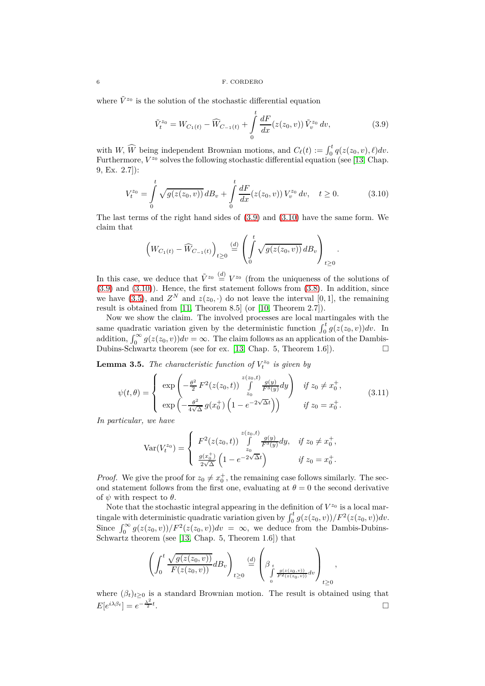where  $\tilde{V}^{z_0}$  is the solution of the stochastic differential equation

<span id="page-5-0"></span>
$$
\tilde{V}_t^{z_0} = W_{C_1(t)} - \widehat{W}_{C_{-1}(t)} + \int_0^t \frac{dF}{dx}(z(z_0, v)) \tilde{V}_v^{z_0} dv,
$$
\n(3.9)

*.*

*,*

with *W*,  $\widehat{W}$  being independent Brownian motions, and  $C_{\ell}(t) := \int_0^t q(z(z_0, v), \ell) dv$ . Furthermore,  $V^{z_0}$  solves the following stochastic differential equation (see [\[13,](#page-7-9) Chap. 9, Ex. 2.7]):

<span id="page-5-1"></span>
$$
V_t^{z_0} = \int_0^t \sqrt{g(z(z_0, v))} \, dB_v + \int_0^t \frac{dF}{dx}(z(z_0, v)) \, V_v^{z_0} \, dv, \quad t \ge 0. \tag{3.10}
$$

The last terms of the right hand sides of [\(3.9\)](#page-5-0) and [\(3.10\)](#page-5-1) have the same form. We claim that

$$
\left(W_{C_1(t)} - \widehat{W}_{C_{-1}(t)}\right)_{t \ge 0} \stackrel{(d)}{=} \left(\int_0^t \sqrt{g(z(z_0, v))} \, dB_v\right)_{t \ge 0}
$$

In this case, we deduce that  $\tilde{V}^{z_0} \stackrel{d}{=} V^{z_0}$  (from the uniqueness of the solutions of  $(3.9)$  and  $(3.10)$ ). Hence, the first statement follows from  $(3.8)$ . In addition, since we have [\(3.5\)](#page-3-4), and  $Z^N$  and  $z(z_0, \cdot)$  do not leave the interval [0, 1], the remaining result is obtained from [\[11,](#page-7-4) Theorem 8.5] (or [\[10,](#page-7-3) Theorem 2.7]).

Now we show the claim. The involved processes are local martingales with the same quadratic variation given by the deterministic function  $\int_0^t g(z(z_0, v)) dv$ . In addition,  $\int_0^\infty g(z(z_0, v))dv = \infty$ . The claim follows as an application of the Dambis-Dubins-Schwartz theorem (see for ex. [\[13,](#page-7-9) Chap. 5, Theorem 1.6]).  $\Box$ 

<span id="page-5-2"></span>**Lemma 3.5.** *The characteristic function of*  $V_t^{z_0}$  *is given by* 

$$
\psi(t,\theta) = \begin{cases}\n\exp\left(-\frac{\theta^2}{2}F^2(z(z_0,t))\int\limits_{z_0}^{z(z_0,t)} \frac{g(y)}{F^3(y)}dy\right) & \text{if } z_0 \neq x_0^+, \\
\exp\left(-\frac{\theta^2}{4\sqrt{\Delta}}g(x_0^+)\left(1 - e^{-2\sqrt{\Delta}t}\right)\right) & \text{if } z_0 = x_0^+.\n\end{cases}
$$
\n(3.11)

*In particular, we have*

$$
\text{Var}(V_t^{z_0}) = \begin{cases} F^2(z(z_0, t)) \int\limits_{z_0}^{z(z_0, t)} \frac{g(y)}{F^3(y)} dy, & \text{if } z_0 \neq x_0^+, \\ \frac{g(x_0^+)}{2\sqrt{\Delta}} \left(1 - e^{-2\sqrt{\Delta}t}\right) & \text{if } z_0 = x_0^+. \end{cases}
$$

*Proof.* We give the proof for  $z_0 \neq x_0^+$ , the remaining case follows similarly. The second statement follows from the first one, evaluating at  $\theta = 0$  the second derivative of  $\psi$  with respect to  $\theta$ .

Note that the stochastic integral appearing in the definition of  $V^{z_0}$  is a local martingale with deterministic quadratic variation given by  $\int_0^t g(z(z_0, v))/F^2(z(z_0, v))dv$ . Since  $\int_0^\infty g(z(z_0, v))/F^2(z(z_0, v))dv = \infty$ , we deduce from the Dambis-Dubins-Schwartz theorem (see [\[13,](#page-7-9) Chap. 5, Theorem 1.6]) that

$$
\left(\int_0^t \frac{\sqrt{g(z(z_0, v))}}{F(z(z_0, v))} dB_v\right)_{t \ge 0} \stackrel{(d)}{=} \left(\beta_t \int_{\substack{g(z(z_0, v))\\ \int_0^t \frac{g(z(z_0, v))}{F^2(z(z_0, v))} dv}} \right)_{t \ge 0}
$$

where  $(\beta_t)_{t\geq 0}$  is a standard Brownian motion. The result is obtained using that  $E[e^{i\lambda\beta_t}] = e^{-\frac{\lambda^2}{2}t}$ .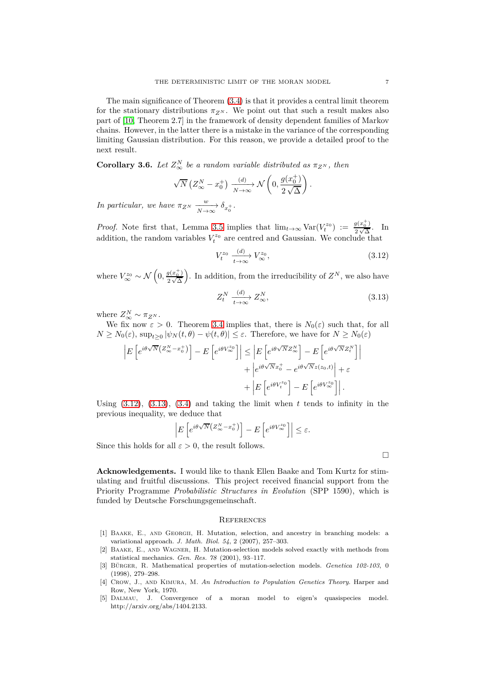The main significance of Theorem [\(3.4\)](#page-4-0) is that it provides a central limit theorem for the stationary distributions  $\pi_{Z^N}$ . We point out that such a result makes also part of [\[10,](#page-7-3) Theorem 2.7] in the framework of density dependent families of Markov chains. However, in the latter there is a mistake in the variance of the corresponding limiting Gaussian distribution. For this reason, we provide a detailed proof to the next result.

<span id="page-6-2"></span>**Corollary 3.6.** *Let*  $Z_{\infty}^N$  *be a random variable distributed as*  $\pi_{Z^N}$ *, then* 

$$
\sqrt{N}\left(Z_\infty^N - x_0^+\right) \xrightarrow[N \to \infty]{(d)} \mathcal{N}\left(0, \frac{g(x_0^+)}{2\sqrt{\Delta}}\right).
$$

*In particular, we have*  $\pi_{Z^N}$   $\xrightarrow[N \to \infty]{w} \delta_{x_0^+}$ .

*Proof.* Note first that, Lemma [3.5](#page-5-2) implies that  $\lim_{t\to\infty} \text{Var}(V_t^{z_0}) := \frac{g(x_0^+)}{2\sqrt{\Delta}}$  $\frac{g(x_0)}{2\sqrt{\Delta}}$ . In addition, the random variables  $V_t^{z_0}$  are centred and Gaussian. We conclude that

<span id="page-6-6"></span>
$$
V_t^{z_0} \xrightarrow[t \to \infty]{(d)} V_{\infty}^{z_0},\tag{3.12}
$$

where  $V_{\infty}^{z_0} \sim \mathcal{N}\left(0, \frac{g(x_0^+)}{2\sqrt{\Delta}}\right)$  $\frac{1}{2}\sqrt{\Delta}$ ). In addition, from the irreducibility of  $Z^N$ , we also have

<span id="page-6-7"></span>
$$
Z_t^N \xrightarrow[t \to \infty]{(d)} Z_\infty^N,\tag{3.13}
$$

where  $Z_{\infty}^N \sim \pi_{Z^N}$ .

We fix now  $\varepsilon > 0$ . Theorem [3.4](#page-4-0) implies that, there is  $N_0(\varepsilon)$  such that, for all  $N \geq N_0(\varepsilon)$ ,  $\sup_{t \geq 0} |\psi_N(t, \theta) - \psi(t, \theta)| \leq \varepsilon$ . Therefore, we have for  $N \geq N_0(\varepsilon)$ 

$$
\left| E\left[e^{i\theta\sqrt{N}\left(Z_{\infty}^{N}-x_{0}^{+}\right)}\right]-E\left[e^{i\theta V_{\infty}^{z_{0}}}\right]\right| \leq \left| E\left[e^{i\theta\sqrt{N}Z_{\infty}^{N}}\right]-E\left[e^{i\theta\sqrt{N}Z_{t}^{N}}\right]\right|
$$

$$
+\left|e^{i\theta\sqrt{N}x_{0}^{+}}-e^{i\theta\sqrt{N}z(z_{0},t)}\right|+\varepsilon
$$

$$
+\left|E\left[e^{i\theta V_{t}^{z_{0}}}\right]-E\left[e^{i\theta V_{\infty}^{z_{0}}}\right]\right|.
$$

Using  $(3.12)$ ,  $(3.13)$ ,  $(3.4)$  and taking the limit when t tends to infinity in the previous inequality, we deduce that

$$
\left| E\left[e^{i\theta\sqrt{N}\left(Z_\infty^N-x_0^+\right)}\right]-E\left[e^{i\theta V_\infty^{z_0}}\right]\right|\leq \varepsilon.
$$

Since this holds for all  $\varepsilon > 0$ , the result follows.

 $\Box$ 

**Acknowledgements.** I would like to thank Ellen Baake and Tom Kurtz for stimulating and fruitful discussions. This project received financial support from the Priority Programme *Probabilistic Structures in Evolution* (SPP 1590), which is funded by Deutsche Forschungsgemeinschaft.

# **REFERENCES**

- <span id="page-6-5"></span>[1] Baake, E., and Georgii, H. Mutation, selection, and ancestry in branching models: a variational approach. *J. Math. Biol. 54*, 2 (2007), 257–303.
- <span id="page-6-4"></span>[2] Baake, E., and Wagner, H. Mutation-selection models solved exactly with methods from statistical mechanics. *Gen. Res. 78* (2001), 93–117.
- <span id="page-6-1"></span>[3] Bürger, R. Mathematical properties of mutation-selection models. *Genetica 102-103*, 0 (1998), 279–298.
- <span id="page-6-0"></span>[4] Crow, J., and Kimura, M. *An Introduction to Population Genetics Theory*. Harper and Row, New York, 1970.
- <span id="page-6-3"></span>[5] Dalmau, J. Convergence of a moran model to eigen's quasispecies model. http://arxiv.org/abs/1404.2133.